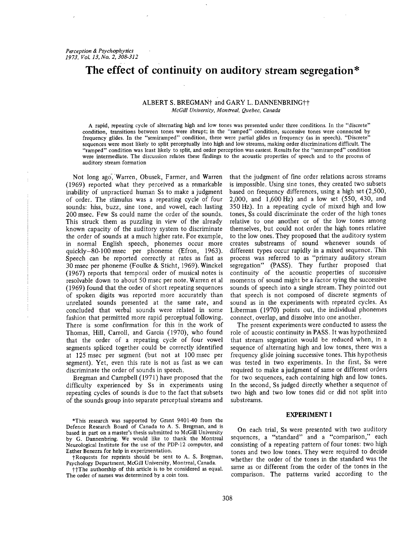# **The effect of continuity on auditory stream segregation\***

## ALBERT S. BREGMAN<sup>+</sup> and GARY L. DANNENBRING<sup>++</sup> *McGill University, Montreal, Quebec, Canada*

A rapid, repeating cycle of alternating high and low tones was presented under three conditions. In the "discrete" **condition,** transitions between tones were abrupt; in the "ramped" condition, successive tones were connected by frequency glides. In the "semiramped" condition, there were partial glides m frequency (as in speech). "Discrete" sequences were most likely to split perceptually into high and low streams, making order discriminations difficult. The "ramped" condition was least likely to split, and order perception was easiest. Results for the "semiramped" condition were intermediate. The discussion relates these findings to the acoustic properties of speech and to the process of auditory stream formation

Not long ago, Warren, Obusek, Farmer, and Warren (1969) reported what they perceived as a remarkable inability of unpracticed human Ss to make a judgment of order. The stimulus was a repeating cycle of four sounds: hiss, buzz, sine tone, and vowel, each lasting 200 msec. Few Ss could name the order of the sounds. This struck them as puzzling in view of the already known capacity of the auditory system to discriminate the order of sounds at a much higher rate. For example, in normal English speech, phonemes occur more quickly-80-100msec per phoneme (Efron, 1963). Speech can be reported correctly at rates as fast as 30 msec per phoneme (Foulke & Sticht, 1969). Winckel (1967) reports that temporal order of musical notes is resolvable down to about 50 msec per note. Warren et al (1969) found that the order of short repeating sequences of spoken digits was reported more accurately than unrelated sounds presented at the same rate, and concluded that verbal sounds were related in some fashion that permitted more rapid perceptual following. There is some confirmation for this in the work of Thomas, Hill, Carroll, and Garcia (1970), who found that the order of a repeating cycle of four vowel segments spliced together could be correctly identified at 125msec per segment (but not at 100msec per segment). Yet, even this rate is not as fast as we can discriminate the order of sounds in speech.

Bregman and Campbell (1971) have proposed that the difficulty experienced by Ss in experiments using repeating cycles of sounds is due to the fact that subsets of the sounds group into separate perceptual streams and

that the judgment of fine order relations across streams is impossible. Using sine tones, they created two subsets based on frequency differences, using a high set (2,500, 2,000, and 1,600Hz) and a low set (550, 430, and 350 Hz). In a repeating cycle of mixed high and low tones, Ss could discriminate the order of the high tones relative to one another or of the low tones among themselves, but could not order the high tones relative to the low ones. They proposed that the auditory system creates substreams of sound whenever sounds of different types occur rapidly in a mixed sequence. This process was referred to as "primary auditory stream .<br>segregation" (PASS). They further proposed that continuity of the acoustic properties of successive moments of sound might be a factor tying the successive sounds of speech into a single stream. They pointed out that speech is not composed of discrete segments of sound as in the experiments with repeated cycles. As Liberman (1970) points out, the individual phonemes connect, overlap, and dissolve into one another.

The present experiments were conducted to assess the role of acoustic continuity in PASS. It was hypothesized that stream segregation would be reduced when, in a sequence of alternating high and low tones, there was a frequency glide joining successive tones. This hypothesis was tested in two experiments. In the first, Ss were required to make a judgment of same or different orders for two sequences, each containing high and low tones. In the second, Ss judged directly whether a sequence of two high and two low tones did or did not split into substreams.

# **EXPERIMENT I**

On each trial, Ss were presented with two auditory sequences, a "standard" and a "comparison," each consisting of a repeating pattern of four tones: two high tones and two low tones. They were required to decide whether the order of the tones in the standard was the same as or different from the order of the tones in the comparison. The patterns varied according to the

<sup>\*</sup>This research was supported by Grant 9401-40 from the Defence Research Board of Canada to A. S. Bregman, and is based in part on a master's thesis submitted to McGill University by G. Dannenbring. We would like to thank the Montreal Neurological Institute for the use of the PDP-12 computer, and Esther Benezra for help in experimentation.

<sup>~-</sup>Requests for reprints should be sent to A. S. Bregman, Psychology Department, McGill University, Montreal, Canada.

 $+$ <sup>+</sup>The authorship of this article is to be considered as equal. The order of names was determined by a coin toss.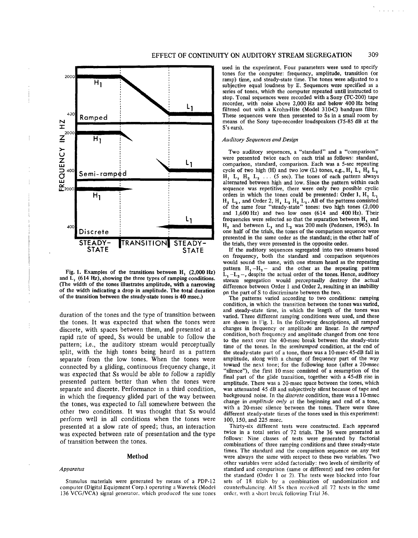

Fig. 1. Examples of the transitions between  $H_1$  (2,000 Hz) and  $\overline{L}$ , (614 Hz), showing the three types of ramping conditions. (The width of the tones illustrates amplitude, with a narrowing of the width indicating a drop in amplitude. The total duration of the transition between the steady-state tones is 40 msee.)

duration of the tones and the type of transition between the tones. It was expected that when the tones were discrete, with spaces between them, and presented at a rapid rate of speed, Ss would be unable to follow the pattern; i.e., the auditory stream would perceptually split, with the high tones being heard as a pattern separate from the low tones. When the tones were connected by a gliding, continuous frequency change, it was expected that Ss would be able to follow a rapidly presented pattern better than when the tones were separate and discrete. Performance in a third condition, in which the frequency glided part of the way between the tones, was expected to fall somewhere between the other two conditions. It was thought that Ss would perform well in all conditions when the tones were presented at a slow rate of speed; thus, an interaction was expected between rate of presentation and the type of transition between the tones.

#### **Method**

#### *Apparatus*

Stunulus materials were generated by means of a PDP-12 computer (Digital Equipment Corp.) operating a Wavetek (Model 136 VCG/VCA) signal generator, which produced the sine tones used in the experiment. Four parameters were used to specify tones for the computer: frequency, amplitude, transition (or ramp) time, and steady-state time. The tones were adjusted to a subjective equal loudness by E. Sequences were specified as a series of tones, which the computer repeated until instructed to stop. Tonal sequences were recorded with a Sony (TC-200) tape recorder, with noise above 2,000 Hz and below 400 Hz being filtered out with a Krohn-Hite (Model 310-C) bandpass filter. These sequences were then presented to Ss in a small room by means of the Sony tape-recorder loudspeakers (75-85 dB at the S's ears).

#### *Auditory Sequences and Design*

Two auditory sequences, a "standard" and a "comparison" were presented twice each on each trial as follows: standard, comparison, standard, comparison. Each was a 5-sec repeating cycle of two high (H) and two low (L) tones, e.g.,  $H_1 L_1 H_2 L_2$  $H_1$ ,  $L_1$ ,  $H_2$ ,  $L_2$ ... (5 sec). The tones of each pattern always alternated between high and low. Since the pattern within each sequence was repetitive, there were only two possible cyclic orders in which the tones could be presented: Order 1, H. L.  $H_2$  L<sub>2</sub>, and Order 2, H<sub>1</sub> L<sub>2</sub> H<sub>2</sub> L<sub>1</sub>. All of the patterns consisted of the same four "steady-state" tones: two high tones (2,000 and 1,600Hz) and two low ones (614 and 400Hz). Their frequencies were selected so that the separation between H, and  $H_2$  and between  $L_1$  and  $L_2$  was 200 mels (Pedersen, 1965). In one half of the trials, the tones of the comparison sequence were presented in the same order as the standard; in the other half of the trials, they were presented in the opposite order.

If the auditory sequences segregated into two streams based on frequency, both the standard and comparison sequences would sound the same, with one stream heard as the repeating pattern  $H_1 - H_2$  and the other as the repeating pattern  $L_1 - L_2 -$ , despite the actual order of the tones. Hence, auditory stream segregation would perceptually destroy the actual difference between Order 1 and Order 2, resulting in an inability 9n the part of S to discriminate between the two.

The patterns varied according to two conditions: ramping condition, in which the transition between the tones was varied, and steady-state time, in which the length of the tones was varied. Three different ramping conditions were used, and these are shown in Fig. 1. In the following descriptions, all ramped changes in frequency or amplitude are linear. In the *ramped* condition, both frequency and amplitude changed from one tone to the next over the 40-msec break between the steady-state time of the tones. In the *semiramped* condition, at the end of the steady-state part of a tone, there was a 10-msec 45-dB fall in amplitude, along with a change of frequency part of the way toward the next tone; for the following tone (after a 20-msec "silence"), the first 10 msec consisted of a resumption of the final part of the glide transition, together with a 45-dB rise in amplitude. There was a 20-msec space between the tones, which was attenuated 45 dB and subjectively silent because of tape and background noise. In the *discrete* condition, there was a 10-msec change in *amplitude only* at the beginning and end of a tone, with a 20-msec silence between the tones. There were three different steady-state times of the tones used in this experiment: 100, 150, and 225 msec.

Thirty-six different tests were constructed. Each appeared twice in a total series of 72 trials. The 36 were generated as follows: Nine classes of tests were generated by factorial combinations of three ramping conditions and three steady-state times. The standard and the comparison sequence on any test were always the same with respect to these two variables. Two other variables were added factorially: two levels of similarity of standard and comparison (same or different) and two orders for the standard (Order 1 or 2). The tests were blocked into four sets of 18 trials by a combination of randomization and counterbalancing. All S<sub>5</sub> then received all 72 tests in the same order, with a short break following Trial 36.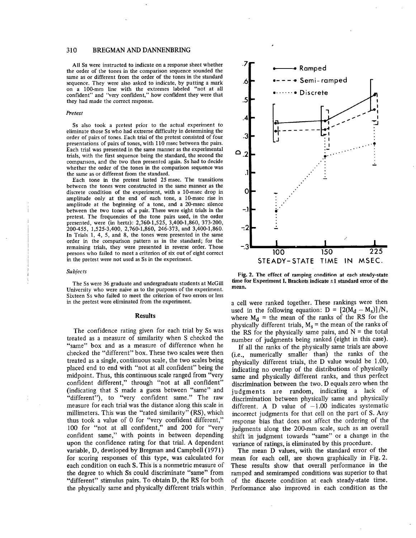## **310 BREGMAN AND DANNENBRING**

**All** Ss were instructed to indicate on a response sheet whether the order of the tones in the comparison sequence sounded the same as or different from the order of the tones in the standard sequence. They were also asked to indicate, by putting a mark on a 100-mm line with the extremes labeled "not at all confident" and "very confident," how confident they were **that** they had made the correct response.

#### *Pretest*

Ss also took a pretest prior to the actual experiment to eliminate those Ss who had extreme difficulty in determining **the** order of pairs of tones. Each trial of the pretest consisted of four presentations of pairs of tones, with 110 msec between the pairs. Each trial was presented in the same manner as the experimental trials, with the first sequence being the standard, the second the comparison, and the two then presented again. Ss had to decide whether the order of the tones in the comparison sequence **was** the same as or different from the standard.

Each tone in the pretest lasted 25 msec. The transitions between **the tones** were constructed in the same manner as **the** discrete condition of the experiment, with a 10-msec drop in amplitude only at the end of each tone, a 10-msec rise in amplitude at the beginning of a tone, and a 20-msec silence between the two tones of a pair. There were eight trials in the pretest. The frequencies of the tone pairs used, in the order presented, were (in hertz): 2,760-1,525, 3,400-1,860, 373-200, 200-455, 1,525-3,400, 2,760-1,860, 246-373, and 3,400-1,860. In Trials 1, 4, 5, and 8, the tones were presented in the same order in the comparison pattern as in the standard; for the remaining trials, they were presented in reverse order. Those persons who failed to meet a criterion of six out of eight correct in the pretest were not used as Ss in the experiment.

#### *Subfects*

The Ss were 36 graduate and undergraduate students at McGill University who were naive as to the purposes of the experiment. Sixteen Ss who failed to meet the criterion of two errors or less in the pretest were eliminated from the experiment.

#### **Results**

The confidence rating given for each trial by Ss was treated as a measure of similarity when S checked the "same" box and as a measure of difference when he checked the "different" box. These two scales were then treated as a single, continuous scale, the two scales being placed end to end with "not at all confident" being the midpoint. Thus, this continuous scale ranged from "very confident different," through "not at all confident" (indicating that S made a guess between "same" and "different"), to "very confident same." The raw measure for each trial was the distance along this scale in millimeters. This was the "rated similarity" (RS), which thus took a value of 0 for "very confident different," 100 for "not at all confident," and 200 for "very confident same," with points in between depending upon the confidence rating for that trial. A dependent variable, D, developed by Bregman and Campbell (1971) for scoring responses of this type, was calculated for each condition on each S. This is a nonmetric measure of the degree to which Ss could discriminate "same" from "different" stimulus pairs. To obtain D, the RS for both the physically same and physically different trials within



**Fig. 2. The effect of ramping condition at each steady-state** time for Experiment I. Brackets indicate  $\pm 1$  standard error of the **mean.**

a cell were ranked together. These rankings were then used in the following equation:  $D = [2(M_d - M_s)]/N$ , where  $M_d$  = the mean of the ranks of the RS for the physically different trials,  $M_s$  = the mean of the ranks of the RS for the physically same pairs, and  $N =$  the total number of judgments being ranked (eight in this case).

If all the ranks of the physically same trials are above (i.e., numerically smaller than) the ranks of the physically different trials, the D value would be 1.00, indicating no overlap of the distributions of'physically same and physically different ranks, and thus perfect discrimination between the two. D equals zero when the judgments are random, indicating a lack of discrimination between physically same and physically different. A D value of  $-1.00$  indicates systematic incorrect judgments for that cell on the part of S. Any response bias that does not affect the ordering of the judgments along the 200-mm scale, such as an overall shift in judgment towards "same" or a change in the variance of ratings, is eliminated by this procedure.

**The** mean D values, with the standard error of the mean for each cell, are shown graphically in Fig. 2. These results show that overall performance in the ramped and semiramped conditions was superior to that of the discrete condition at each steady-state time. Performance also improved in each condition as the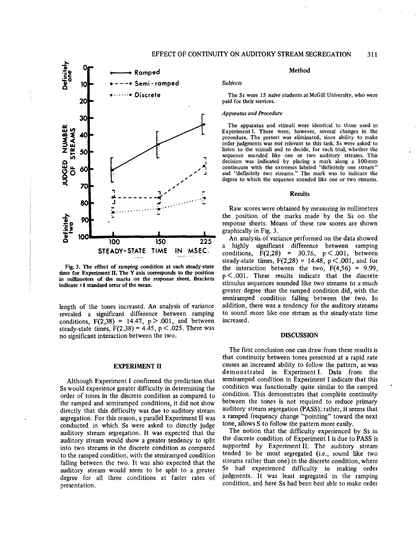

**Fig. 3. The effect of ramping condition** at each **steady-state** time **for Experiment IL The** Y axis **corresponds to the position** in millimeters **of the** marks on the **response sheet. Brackets** indicate  $\pm 1$  standard error of the mean.

length of the tones increased. An analysis of variance revealed a significant difference between ramping conditions,  $F(2,38) = 14.47$ ,  $p > .001$ , and between steady-state times,  $F(2,38) = 4.45$ ,  $p < .025$ . There was no significant interaction between the two.

## EXPERIMENT II

Although Experiment I confirmed the prediction that Ss would experience greater difficulty in determining the order of tones in the discrete condition as compared to the ramped and semiramped conditions, it did not show directly that this difficulty was due to auditory stream segregation. For this reason, a parallel Experiment II was conducted in which Ss were asked to directly judge auditory stream segregation. It was expected that the auditory stream would show a greater tendency to split into two streams in the discrete condition as compared to the ramped condition, with the semiramped condition falling between the two. It was also expected that the auditory stream would seem to be split to a greater degree for all three conditions at faster rates of presentation.

## **Method**

### *Subjects*

The Ss were 15 naive students at McGill University, who were paid for their services.

# *Apparatus and Procedure*

The apparatus and stimuli were identical to those used in Experiment I. There were, however, several changes in the procedure. The pretest was eliminated, since ability to make order judgments was not relevant to this task. Ss were asked to listen to the stimuli and to decide, for each trial, whether the sequence sounded like one or two auditory streams. This decision was indicated by placing a mark along a 100-mm continuum with the extremes labeled "definitely one stream" and "def'mitely two streams." The mark was to indicate the degree to which the sequence sounded like one or two streams.

#### **Results**

Raw scores were obtained by measuring in millimeters the position of the marks made by the Ss on the response sheets. Means of these raw scores are shown graphically in Fig. 3.

An analysis of variance performed on the data showed a highly significant difference between ramping conditions,  $F(2,28) = 30.76$ ,  $p < .001$ , between steady-state times,  $F(2,28) = 14.48$ ,  $p < .001$ , and for the interaction between the two,  $F(4,56) = 9.99$ ,  $p < .001$ . These results indicate that the discrete stimulus sequences sounded like two streams to a much greater degree than the ramped condition did, with the semiramped condition falling between the two. In addition, there was a tendency for the auditory streams to sound more like one stream as the steady-state time increased.

## **DISCUSSION**

The first conclusion one can draw from these results is that continuity between tones presented at a rapid rate causes an increased ability to follow the pattern, as was demonstrated in Experiment I. Data from the semiramped condition in Experiment I indicate that this condition was functionally quite similar to the ramped condition. This demonstrates that 'complete continuity between the tones is not required to reduce primary auditory stream segregation (PASS); rather, it seems that a ramped frequency change "pointing" toward the next tone, allows S to follow the pattern more easily.

The notion that the difficulty experienced by Ss in the discrete condition of Experiment I is due to PASS is supported by Experiment II. The auditory stream tended to be most segregated (i.e., sound like two streams rather than one) in the discrete condition, where Ss had experienced difficulty in making order judgments. It was least segregated in the ramping condition, and here Ss had been best able to make order